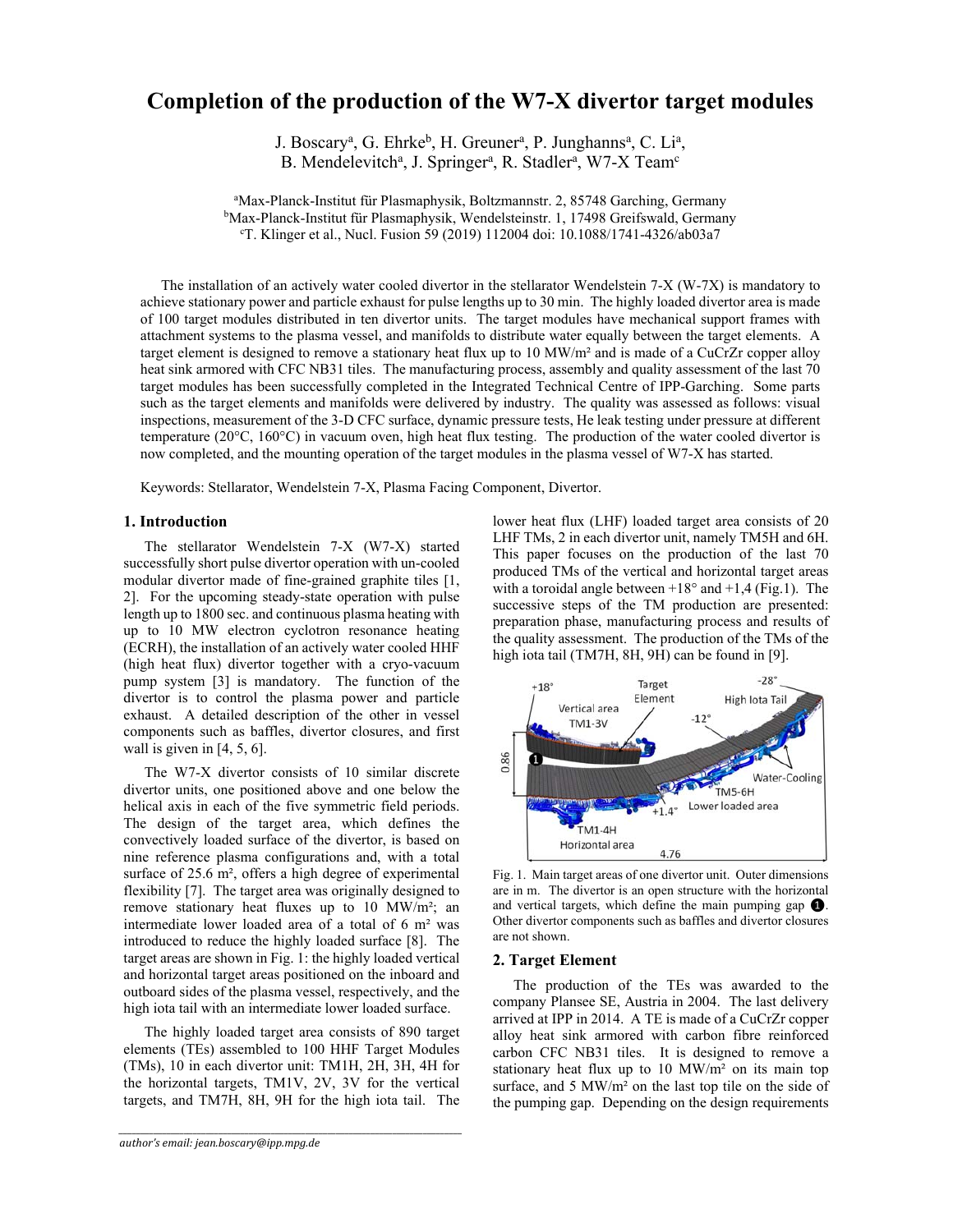# **Completion of the production of the W7-X divertor target modules**

J. Boscary<sup>a</sup>, G. Ehrke<sup>b</sup>, H. Greuner<sup>a</sup>, P. Junghanns<sup>a</sup>, C. Li<sup>a</sup>, B. Mendelevitch<sup>a</sup>, J. Springer<sup>a</sup>, R. Stadler<sup>a</sup>, W7-X Team<sup>c</sup>

a Max-Planck-Institut für Plasmaphysik, Boltzmannstr. 2, 85748 Garching, Germany bMax-Planck-Institut für Plasmaphysik, Wendelsteinstr. 1, 17498 Greifswald, Germany<br><sup>CT</sup> Klinger et al. Nucl. Eusion 59 (2019) 112004 doi: 10 1088/1741-4326/ab03a7 T. Klinger et al., Nucl. Fusion 59 (2019) 112004 doi: 10.1088/1741-4326/ab03a7

The installation of an actively water cooled divertor in the stellarator Wendelstein 7-X (W-7X) is mandatory to achieve stationary power and particle exhaust for pulse lengths up to 30 min. The highly loaded divertor area is made of 100 target modules distributed in ten divertor units. The target modules have mechanical support frames with attachment systems to the plasma vessel, and manifolds to distribute water equally between the target elements. A target element is designed to remove a stationary heat flux up to 10 MW/m<sup>2</sup> and is made of a CuCrZr copper alloy heat sink armored with CFC NB31 tiles. The manufacturing process, assembly and quality assessment of the last 70 target modules has been successfully completed in the Integrated Technical Centre of IPP-Garching. Some parts such as the target elements and manifolds were delivered by industry. The quality was assessed as follows: visual inspections, measurement of the 3-D CFC surface, dynamic pressure tests, He leak testing under pressure at different temperature (20°C, 160°C) in vacuum oven, high heat flux testing. The production of the water cooled divertor is now completed, and the mounting operation of the target modules in the plasma vessel of W7-X has started.

Keywords: Stellarator, Wendelstein 7-X, Plasma Facing Component, Divertor.

# **1. Introduction**

The stellarator Wendelstein 7-X (W7-X) started successfully short pulse divertor operation with un-cooled modular divertor made of fine-grained graphite tiles [1, 2]. For the upcoming steady-state operation with pulse length up to 1800 sec. and continuous plasma heating with up to 10 MW electron cyclotron resonance heating (ECRH), the installation of an actively water cooled HHF (high heat flux) divertor together with a cryo-vacuum pump system [3] is mandatory. The function of the divertor is to control the plasma power and particle exhaust. A detailed description of the other in vessel components such as baffles, divertor closures, and first wall is given in  $[4, 5, 6]$ .

The W7-X divertor consists of 10 similar discrete divertor units, one positioned above and one below the helical axis in each of the five symmetric field periods. The design of the target area, which defines the convectively loaded surface of the divertor, is based on nine reference plasma configurations and, with a total surface of 25.6 m², offers a high degree of experimental flexibility [7]. The target area was originally designed to remove stationary heat fluxes up to 10 MW/m²; an intermediate lower loaded area of a total of 6 m² was introduced to reduce the highly loaded surface [8]. The target areas are shown in Fig. 1: the highly loaded vertical and horizontal target areas positioned on the inboard and outboard sides of the plasma vessel, respectively, and the high iota tail with an intermediate lower loaded surface.

The highly loaded target area consists of 890 target elements (TEs) assembled to 100 HHF Target Modules (TMs), 10 in each divertor unit: TM1H, 2H, 3H, 4H for the horizontal targets, TM1V, 2V, 3V for the vertical targets, and TM7H, 8H, 9H for the high iota tail. The

*\_\_\_\_\_\_\_\_\_\_\_\_\_\_\_\_\_\_\_\_\_\_\_\_\_\_\_\_\_\_\_\_\_\_\_\_\_\_\_\_\_\_\_\_\_\_\_\_\_\_\_\_\_\_\_\_\_\_\_\_\_\_\_\_\_\_\_\_\_\_\_\_\_\_\_\_\_\_\_*

lower heat flux (LHF) loaded target area consists of 20 LHF TMs, 2 in each divertor unit, namely TM5H and 6H. This paper focuses on the production of the last 70 produced TMs of the vertical and horizontal target areas with a toroidal angle between  $+18^{\circ}$  and  $+1.4$  (Fig.1). The successive steps of the TM production are presented: preparation phase, manufacturing process and results of the quality assessment. The production of the TMs of the high iota tail (TM7H, 8H, 9H) can be found in [9].



Fig. 1. Main target areas of one divertor unit. Outer dimensions are in m. The divertor is an open structure with the horizontal and vertical targets, which define the main pumping gap ❶. Other divertor components such as baffles and divertor closures are not shown.

#### **2. Target Element**

The production of the TEs was awarded to the company Plansee SE, Austria in 2004. The last delivery arrived at IPP in 2014. A TE is made of a CuCrZr copper alloy heat sink armored with carbon fibre reinforced carbon CFC NB31 tiles. It is designed to remove a stationary heat flux up to 10 MW/m² on its main top surface, and 5 MW/m² on the last top tile on the side of the pumping gap. Depending on the design requirements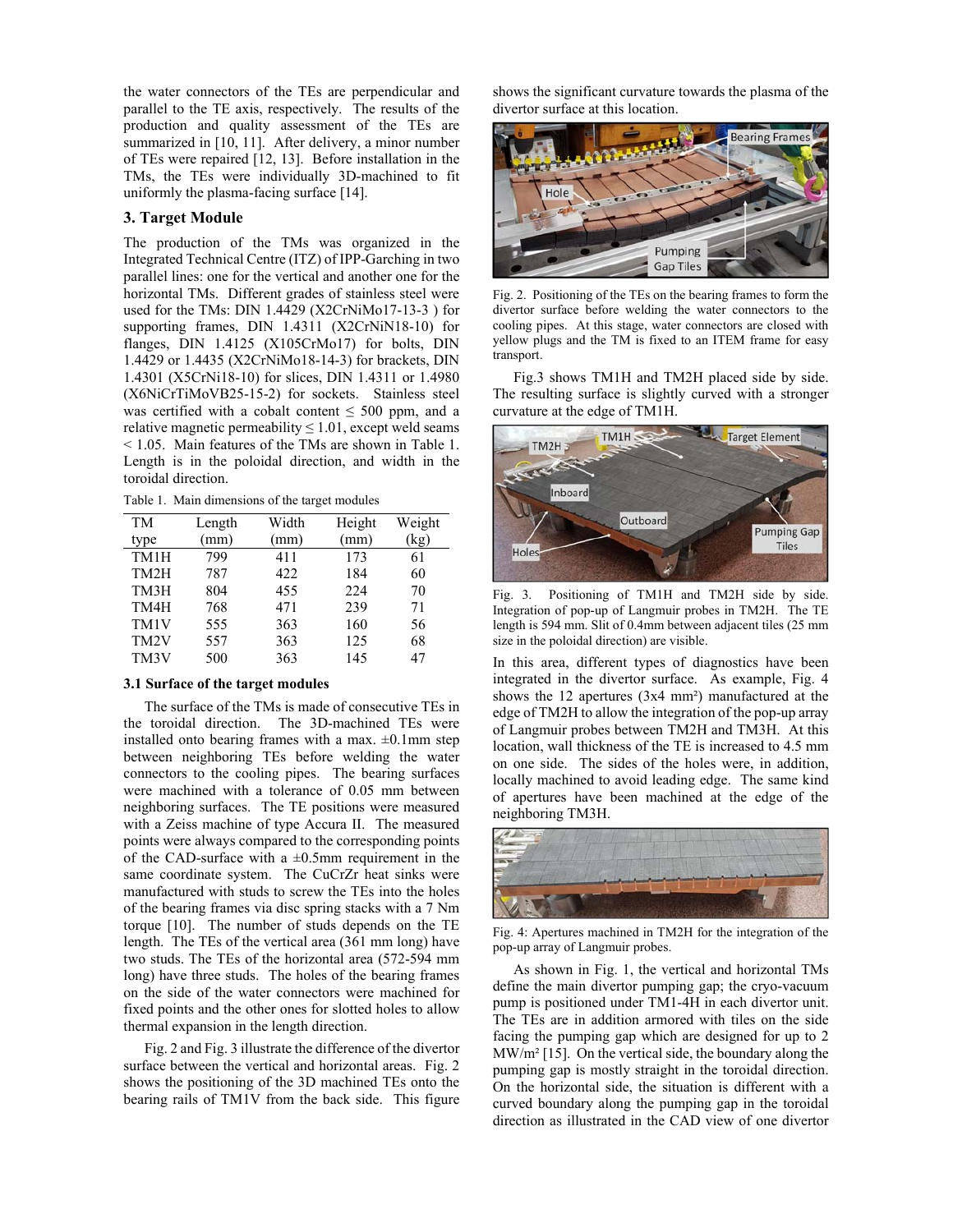the water connectors of the TEs are perpendicular and parallel to the TE axis, respectively. The results of the production and quality assessment of the TEs are summarized in [10, 11]. After delivery, a minor number of TEs were repaired [12, 13]. Before installation in the TMs, the TEs were individually 3D-machined to fit uniformly the plasma-facing surface [14].

# **3. Target Module**

The production of the TMs was organized in the Integrated Technical Centre (ITZ) of IPP-Garching in two parallel lines: one for the vertical and another one for the horizontal TMs. Different grades of stainless steel were used for the TMs: DIN 1.4429 (X2CrNiMo17-13-3 ) for supporting frames, DIN 1.4311 (X2CrNiN18-10) for flanges, DIN 1.4125 (X105CrMo17) for bolts, DIN 1.4429 or 1.4435 (X2CrNiMo18-14-3) for brackets, DIN 1.4301 (X5CrNi18-10) for slices, DIN 1.4311 or 1.4980 (X6NiCrTiMoVB25-15-2) for sockets. Stainless steel was certified with a cobalt content  $\leq 500$  ppm, and a relative magnetic permeability  $\leq 1.01$ , except weld seams < 1.05. Main features of the TMs are shown in Table 1. Length is in the poloidal direction, and width in the toroidal direction.

Table 1. Main dimensions of the target modules

| Length | Width | Height | Weight |
|--------|-------|--------|--------|
| mm)    | (mm)  | (mm)   | (kg)   |
| 799    | 411   | 173    | 61     |
| 787    | 422   | 184    | 60     |
| 804    | 455   | 224    | 70     |
| 768    | 471   | 239    | 71     |
| 555    | 363   | 160    | 56     |
| 557    | 363   | 125    | 68     |
| 500    | 363   | 145    | 47     |
|        |       |        |        |

## **3.1 Surface of the target modules**

The surface of the TMs is made of consecutive TEs in the toroidal direction. The 3D-machined TEs were installed onto bearing frames with a max.  $\pm 0.1$ mm step between neighboring TEs before welding the water connectors to the cooling pipes. The bearing surfaces were machined with a tolerance of 0.05 mm between neighboring surfaces. The TE positions were measured with a Zeiss machine of type Accura II. The measured points were always compared to the corresponding points of the CAD-surface with a  $\pm 0.5$ mm requirement in the same coordinate system. The CuCrZr heat sinks were manufactured with studs to screw the TEs into the holes of the bearing frames via disc spring stacks with a 7 Nm torque [10]. The number of studs depends on the TE length. The TEs of the vertical area (361 mm long) have two studs. The TEs of the horizontal area (572-594 mm long) have three studs. The holes of the bearing frames on the side of the water connectors were machined for fixed points and the other ones for slotted holes to allow thermal expansion in the length direction.

Fig. 2 and Fig. 3 illustrate the difference of the divertor surface between the vertical and horizontal areas. Fig. 2 shows the positioning of the 3D machined TEs onto the bearing rails of TM1V from the back side. This figure shows the significant curvature towards the plasma of the divertor surface at this location.



Fig. 2. Positioning of the TEs on the bearing frames to form the divertor surface before welding the water connectors to the cooling pipes. At this stage, water connectors are closed with yellow plugs and the TM is fixed to an ITEM frame for easy transport.

Fig.3 shows TM1H and TM2H placed side by side. The resulting surface is slightly curved with a stronger curvature at the edge of TM1H.



Fig. 3. Positioning of TM1H and TM2H side by side. Integration of pop-up of Langmuir probes in TM2H. The TE length is 594 mm. Slit of 0.4mm between adjacent tiles (25 mm size in the poloidal direction) are visible.

In this area, different types of diagnostics have been integrated in the divertor surface. As example, Fig. 4 shows the 12 apertures (3x4 mm²) manufactured at the edge of TM2H to allow the integration of the pop-up array of Langmuir probes between TM2H and TM3H. At this location, wall thickness of the TE is increased to 4.5 mm on one side. The sides of the holes were, in addition, locally machined to avoid leading edge. The same kind of apertures have been machined at the edge of the neighboring TM3H.



Fig. 4: Apertures machined in TM2H for the integration of the pop-up array of Langmuir probes.

As shown in Fig. 1, the vertical and horizontal TMs define the main divertor pumping gap; the cryo-vacuum pump is positioned under TM1-4H in each divertor unit. The TEs are in addition armored with tiles on the side facing the pumping gap which are designed for up to 2 MW/m² [15]. On the vertical side, the boundary along the pumping gap is mostly straight in the toroidal direction. On the horizontal side, the situation is different with a curved boundary along the pumping gap in the toroidal direction as illustrated in the CAD view of one divertor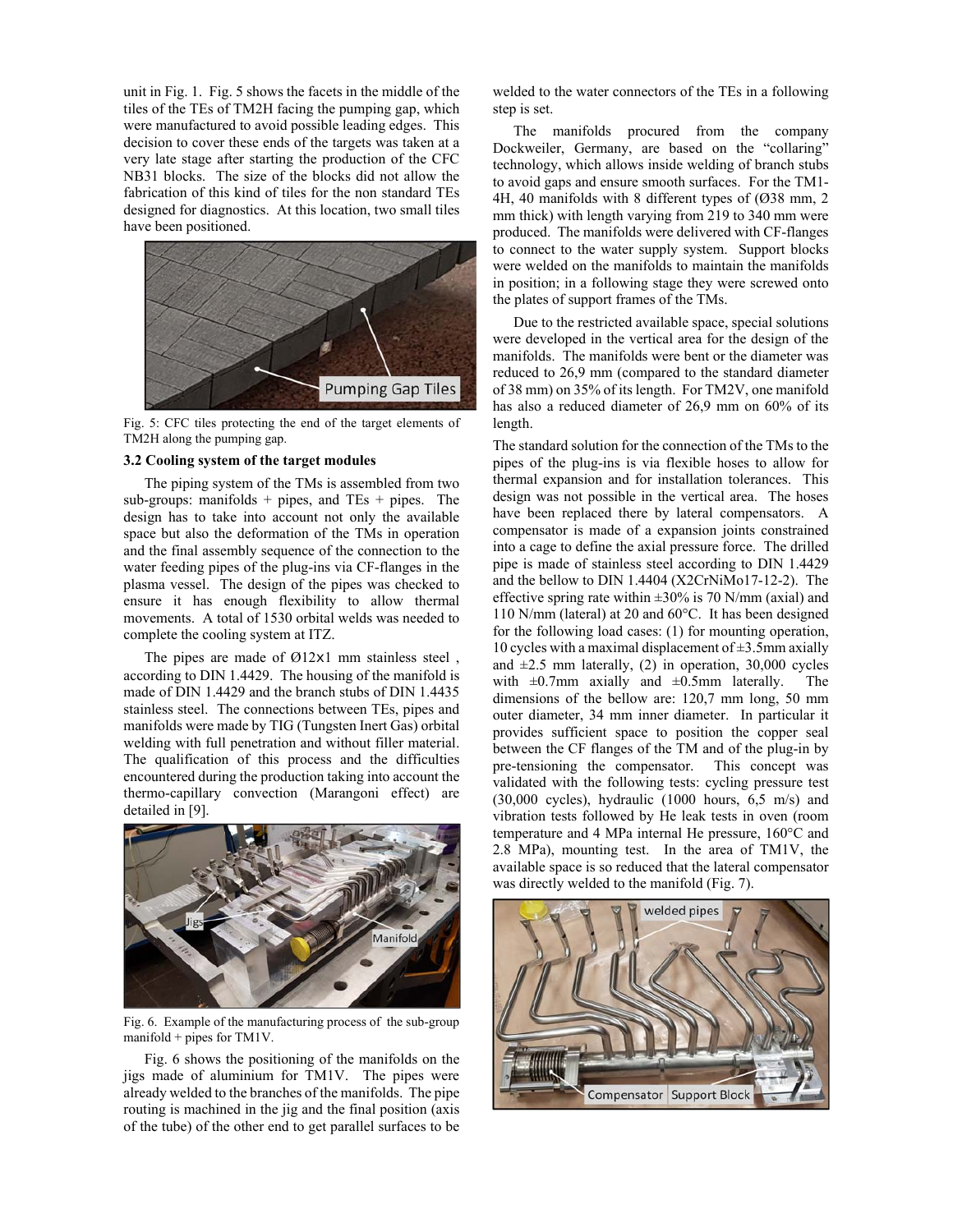unit in Fig. 1. Fig. 5 shows the facets in the middle of the tiles of the TEs of TM2H facing the pumping gap, which were manufactured to avoid possible leading edges. This decision to cover these ends of the targets was taken at a very late stage after starting the production of the CFC NB31 blocks. The size of the blocks did not allow the fabrication of this kind of tiles for the non standard TEs designed for diagnostics. At this location, two small tiles have been positioned.



Fig. 5: CFC tiles protecting the end of the target elements of TM2H along the pumping gap.

#### **3.2 Cooling system of the target modules**

The piping system of the TMs is assembled from two sub-groups: manifolds  $+$  pipes, and TEs  $+$  pipes. The design has to take into account not only the available space but also the deformation of the TMs in operation and the final assembly sequence of the connection to the water feeding pipes of the plug-ins via CF-flanges in the plasma vessel. The design of the pipes was checked to ensure it has enough flexibility to allow thermal movements. A total of 1530 orbital welds was needed to complete the cooling system at ITZ.

The pipes are made of Ø12x1 mm stainless steel, according to DIN 1.4429. The housing of the manifold is made of DIN 1.4429 and the branch stubs of DIN 1.4435 stainless steel. The connections between TEs, pipes and manifolds were made by TIG (Tungsten Inert Gas) orbital welding with full penetration and without filler material. The qualification of this process and the difficulties encountered during the production taking into account the thermo-capillary convection (Marangoni effect) are detailed in [9].



Fig. 6. Example of the manufacturing process of the sub-group manifold  $+$  pipes for TM1V.

Fig. 6 shows the positioning of the manifolds on the jigs made of aluminium for TM1V. The pipes were already welded to the branches of the manifolds. The pipe routing is machined in the jig and the final position (axis of the tube) of the other end to get parallel surfaces to be welded to the water connectors of the TEs in a following step is set.

The manifolds procured from the company Dockweiler, Germany, are based on the "collaring" technology, which allows inside welding of branch stubs to avoid gaps and ensure smooth surfaces. For the TM1- 4H, 40 manifolds with 8 different types of (Ø38 mm, 2 mm thick) with length varying from 219 to 340 mm were produced. The manifolds were delivered with CF-flanges to connect to the water supply system. Support blocks were welded on the manifolds to maintain the manifolds in position; in a following stage they were screwed onto the plates of support frames of the TMs.

Due to the restricted available space, special solutions were developed in the vertical area for the design of the manifolds. The manifolds were bent or the diameter was reduced to 26,9 mm (compared to the standard diameter of 38 mm) on 35% of its length. For TM2V, one manifold has also a reduced diameter of 26,9 mm on 60% of its length.

The standard solution for the connection of the TMs to the pipes of the plug-ins is via flexible hoses to allow for thermal expansion and for installation tolerances. This design was not possible in the vertical area. The hoses have been replaced there by lateral compensators. A compensator is made of a expansion joints constrained into a cage to define the axial pressure force. The drilled pipe is made of stainless steel according to DIN 1.4429 and the bellow to DIN 1.4404 (X2CrNiMo17-12-2). The effective spring rate within  $\pm 30\%$  is 70 N/mm (axial) and 110 N/mm (lateral) at 20 and 60°C. It has been designed for the following load cases: (1) for mounting operation, 10 cycles with a maximal displacement of  $\pm$ 3.5mm axially and  $\pm 2.5$  mm laterally, (2) in operation, 30,000 cycles with  $\pm 0.7$ mm axially and  $\pm 0.5$ mm laterally. The dimensions of the bellow are: 120,7 mm long, 50 mm outer diameter, 34 mm inner diameter. In particular it provides sufficient space to position the copper seal between the CF flanges of the TM and of the plug-in by pre-tensioning the compensator. This concept was validated with the following tests: cycling pressure test  $(30,000 \text{ cycles})$ , hydraulic  $(1000 \text{ hours}, 6.5 \text{ m/s})$  and vibration tests followed by He leak tests in oven (room temperature and 4 MPa internal He pressure, 160°C and 2.8 MPa), mounting test. In the area of TM1V, the available space is so reduced that the lateral compensator was directly welded to the manifold (Fig. 7).

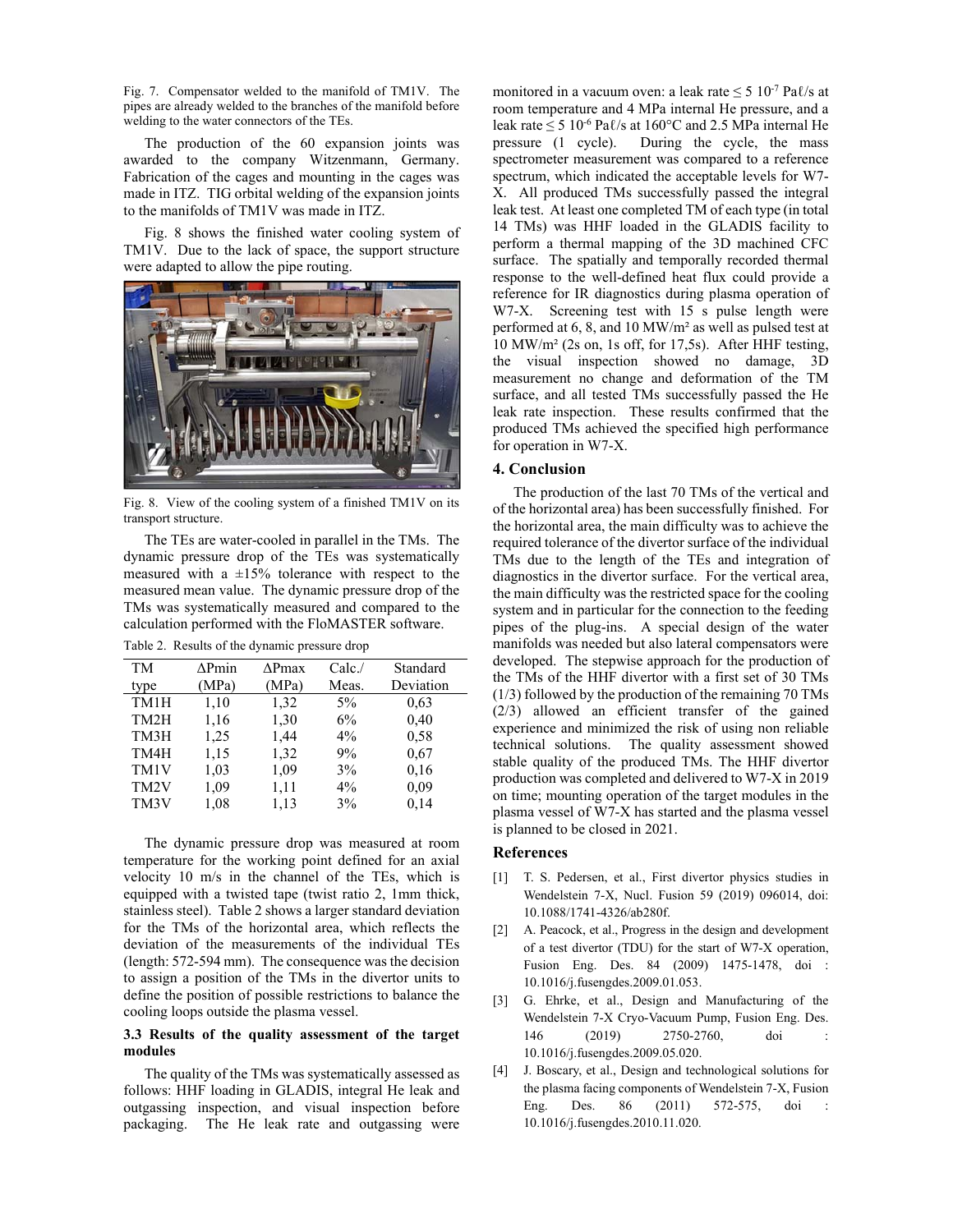Fig. 7. Compensator welded to the manifold of TM1V. The pipes are already welded to the branches of the manifold before welding to the water connectors of the TEs.

The production of the 60 expansion joints was awarded to the company Witzenmann, Germany. Fabrication of the cages and mounting in the cages was made in ITZ. TIG orbital welding of the expansion joints to the manifolds of TM1V was made in ITZ.

Fig. 8 shows the finished water cooling system of TM1V. Due to the lack of space, the support structure were adapted to allow the pipe routing.



Fig. 8. View of the cooling system of a finished TM1V on its transport structure.

The TEs are water-cooled in parallel in the TMs. The dynamic pressure drop of the TEs was systematically measured with a ±15% tolerance with respect to the measured mean value. The dynamic pressure drop of the TMs was systematically measured and compared to the calculation performed with the FloMASTER software.

Table 2. Results of the dynamic pressure drop

| TM<br>type        | $\Delta P$ min<br>(MPa) | $\triangle Pmax$<br>(MPa) | Calc/<br>Meas. | Standard<br>Deviation |
|-------------------|-------------------------|---------------------------|----------------|-----------------------|
| TM1H              | 1,10                    | 1,32                      | $5\%$          | 0.63                  |
| TM <sub>2</sub> H | 1,16                    | 1,30                      | 6%             | 0,40                  |
| TM3H              | 1,25                    | 1,44                      | $4\%$          | 0.58                  |
| TM4H              | 1,15                    | 1,32                      | 9%             | 0.67                  |
| TM1V              | 1,03                    | 1,09                      | 3%             | 0,16                  |
| TM <sub>2</sub> V | 1,09                    | 1,11                      | $4\%$          | 0,09                  |
| TM3V              | 1,08                    | 1,13                      | 3%             | 0,14                  |

The dynamic pressure drop was measured at room temperature for the working point defined for an axial velocity 10 m/s in the channel of the TEs, which is equipped with a twisted tape (twist ratio 2, 1mm thick, stainless steel). Table 2 shows a larger standard deviation for the TMs of the horizontal area, which reflects the deviation of the measurements of the individual TEs (length: 572-594 mm). The consequence was the decision to assign a position of the TMs in the divertor units to define the position of possible restrictions to balance the cooling loops outside the plasma vessel.

## **3.3 Results of the quality assessment of the target modules**

The quality of the TMs was systematically assessed as follows: HHF loading in GLADIS, integral He leak and outgassing inspection, and visual inspection before packaging. The He leak rate and outgassing were

monitored in a vacuum oven: a leak rate  $\leq 5 \frac{10^{-7} \text{ Pa}}{s}$  at room temperature and 4 MPa internal He pressure, and a leak rate  $\leq 5 \times 10^{-6}$  Pa $\ell$ /s at 160°C and 2.5 MPa internal He pressure (1 cycle). During the cycle, the mass spectrometer measurement was compared to a reference spectrum, which indicated the acceptable levels for W7- X. All produced TMs successfully passed the integral leak test. At least one completed TM of each type (in total 14 TMs) was HHF loaded in the GLADIS facility to perform a thermal mapping of the 3D machined CFC surface. The spatially and temporally recorded thermal response to the well-defined heat flux could provide a reference for IR diagnostics during plasma operation of W7-X. Screening test with 15 s pulse length were performed at 6, 8, and 10 MW/m² as well as pulsed test at 10 MW/m² (2s on, 1s off, for 17,5s). After HHF testing, the visual inspection showed no damage, 3D measurement no change and deformation of the TM surface, and all tested TMs successfully passed the He leak rate inspection. These results confirmed that the produced TMs achieved the specified high performance for operation in W7-X.

#### **4. Conclusion**

The production of the last 70 TMs of the vertical and of the horizontal area) has been successfully finished. For the horizontal area, the main difficulty was to achieve the required tolerance of the divertor surface of the individual TMs due to the length of the TEs and integration of diagnostics in the divertor surface. For the vertical area, the main difficulty was the restricted space for the cooling system and in particular for the connection to the feeding pipes of the plug-ins. A special design of the water manifolds was needed but also lateral compensators were developed. The stepwise approach for the production of the TMs of the HHF divertor with a first set of 30 TMs (1/3) followed by the production of the remaining 70 TMs (2/3) allowed an efficient transfer of the gained experience and minimized the risk of using non reliable technical solutions. The quality assessment showed stable quality of the produced TMs. The HHF divertor production was completed and delivered to W7-X in 2019 on time; mounting operation of the target modules in the plasma vessel of W7-X has started and the plasma vessel is planned to be closed in 2021.

#### **References**

- [1] T. S. Pedersen, et al., First divertor physics studies in Wendelstein 7-X, Nucl. Fusion 59 (2019) 096014, doi: 10.1088/1741-4326/ab280f.
- [2] A. Peacock, et al., Progress in the design and development of a test divertor (TDU) for the start of W7-X operation, Fusion Eng. Des. 84 (2009) 1475-1478, doi : 10.1016/j.fusengdes.2009.01.053.
- [3] G. Ehrke, et al., Design and Manufacturing of the Wendelstein 7-X Cryo-Vacuum Pump, Fusion Eng. Des. 146 (2019) 2750-2760, doi 10.1016/j.fusengdes.2009.05.020.
- [4] J. Boscary, et al., Design and technological solutions for the plasma facing components of Wendelstein 7-X, Fusion Eng. Des. 86 (2011) 572-575, doi 10.1016/j.fusengdes.2010.11.020.